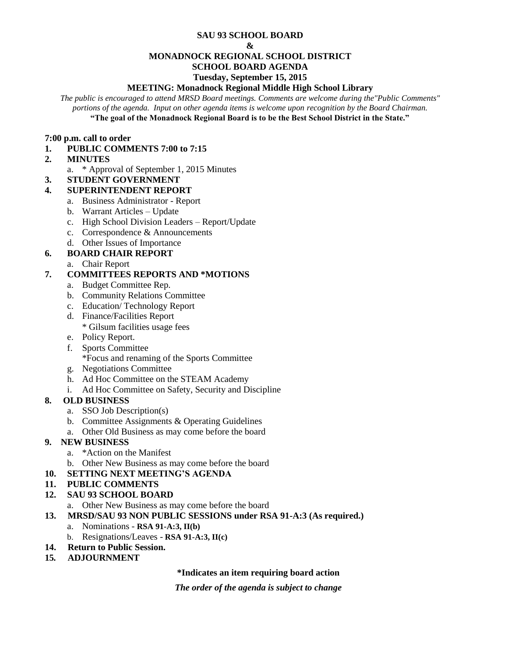#### **SAU 93 SCHOOL BOARD**

#### **&**

## **MONADNOCK REGIONAL SCHOOL DISTRICT**

# **SCHOOL BOARD AGENDA**

#### **Tuesday, September 15, 2015**

### **MEETING: Monadnock Regional Middle High School Library**

*The public is encouraged to attend MRSD Board meetings. Comments are welcome during the"Public Comments" portions of the agenda. Input on other agenda items is welcome upon recognition by the Board Chairman.* **"The goal of the Monadnock Regional Board is to be the Best School District in the State."**

#### **7:00 p.m. call to order**

#### **1. PUBLIC COMMENTS 7:00 to 7:15**

- **2. MINUTES** 
	- a. \* Approval of September 1, 2015 Minutes
- **3. STUDENT GOVERNMENT**

## **4. SUPERINTENDENT REPORT**

- a. Business Administrator Report
- b. Warrant Articles Update
- c. High School Division Leaders Report/Update
- c. Correspondence & Announcements
- d. Other Issues of Importance

## **6. BOARD CHAIR REPORT**

a. Chair Report

## **7. COMMITTEES REPORTS AND \*MOTIONS**

- a. Budget Committee Rep.
- b. Community Relations Committee
- c. Education/ Technology Report
- d. Finance/Facilities Report
	- \* Gilsum facilities usage fees
- e. Policy Report.
- f. Sports Committee
	- \*Focus and renaming of the Sports Committee
- g. Negotiations Committee
- h. Ad Hoc Committee on the STEAM Academy
- i. Ad Hoc Committee on Safety, Security and Discipline

## **8. OLD BUSINESS**

- a. SSO Job Description(s)
- b. Committee Assignments & Operating Guidelines
- a. Other Old Business as may come before the board

## **9. NEW BUSINESS**

- a. \*Action on the Manifest
- b. Other New Business as may come before the board

## **10. SETTING NEXT MEETING'S AGENDA**

#### **11. PUBLIC COMMENTS**

## **12. SAU 93 SCHOOL BOARD**

a. Other New Business as may come before the board

- **13. MRSD/SAU 93 NON PUBLIC SESSIONS under RSA 91-A:3 (As required.)**
	- a. Nominations **RSA 91-A:3, II(b)**
	- b. Resignations/Leaves **RSA 91-A:3, II(c)**
- **14. Return to Public Session.**
- **15***.* **ADJOURNMENT**

#### **\*Indicates an item requiring board action**

*The order of the agenda is subject to change*